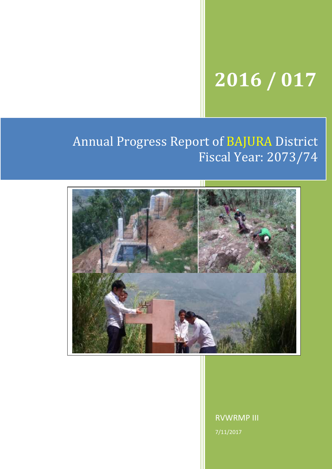# **2016 / 017**

## Annual Progress Report of BAJURA District Fiscal Year: 2073/74



RVWRMP III 7/11/2017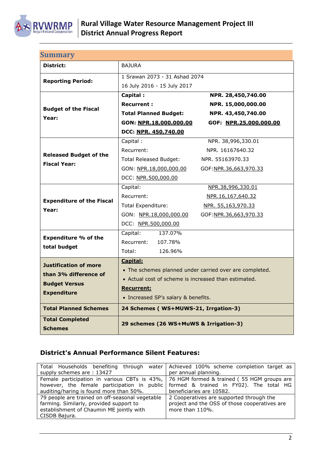

<span id="page-1-0"></span>

| <b>Summary</b>                           |                                                         |                        |  |  |  |
|------------------------------------------|---------------------------------------------------------|------------------------|--|--|--|
| <b>District:</b>                         | <b>BAJURA</b>                                           |                        |  |  |  |
|                                          | 1 Srawan 2073 - 31 Ashad 2074                           |                        |  |  |  |
| <b>Reporting Period:</b>                 | 16 July 2016 - 15 July 2017                             |                        |  |  |  |
|                                          | Capital:                                                | NPR. 28,450,740.00     |  |  |  |
| <b>Budget of the Fiscal</b>              | <b>Recurrent:</b>                                       | NPR. 15,000,000.00     |  |  |  |
| Year:                                    | <b>Total Planned Budget:</b>                            | NPR. 43,450,740.00     |  |  |  |
|                                          | GON: NPR.18,000,000.00                                  | GOF: NPR.25,000,000.00 |  |  |  |
|                                          | DCC: NPR. 450,740.00                                    |                        |  |  |  |
|                                          | Capital:                                                | NPR. 38,996,330.01     |  |  |  |
| <b>Released Budget of the</b>            | Recurrent:                                              | NPR. 16167640.32       |  |  |  |
| <b>Fiscal Year:</b>                      | Total Released Budget:                                  | NPR. 55163970.33       |  |  |  |
|                                          | GON: NPR.18,000,000.00                                  | GOF:NPR.36,663,970.33  |  |  |  |
|                                          | DCC: NPR.500,000.00                                     |                        |  |  |  |
|                                          | Capital:                                                | NPR.38,996,330.01      |  |  |  |
| <b>Expenditure of the Fiscal</b>         | Recurrent:                                              | NPR.16,167,640.32      |  |  |  |
| Year:                                    | Total Expenditure:                                      | NPR. 55,163,970.33     |  |  |  |
|                                          | GON: NPR.18,000,000.00                                  | GOF:NPR.36,663,970.33  |  |  |  |
|                                          | DCC: NPR.500,000.00                                     |                        |  |  |  |
| <b>Expenditure % of the</b>              | 137.07%<br>Capital:                                     |                        |  |  |  |
| total budget                             | Recurrent:<br>107.78%                                   |                        |  |  |  |
|                                          | Total:<br>126.96%                                       |                        |  |  |  |
| <b>Justification of more</b>             | Capital:                                                |                        |  |  |  |
| than 3% difference of                    | • The schemes planned under carried over are completed. |                        |  |  |  |
| <b>Budget Versus</b>                     | • Actual cost of scheme is increased than estimated.    |                        |  |  |  |
| <b>Expenditure</b>                       | <b>Recurrent:</b>                                       |                        |  |  |  |
|                                          | • Increased SP's salary & benefits.                     |                        |  |  |  |
| <b>Total Planned Schemes</b>             | 24 Schemes (WS+MUWS-21, Irrgation-3)                    |                        |  |  |  |
| <b>Total Completed</b><br><b>Schemes</b> | 29 schemes (26 WS+MuWS & Irrigation-3)                  |                        |  |  |  |

## **District's Annual Performance Silent Features:**

| Total Households benefiting through water Achieved 100% scheme completion target as      |                                          |  |  |  |
|------------------------------------------------------------------------------------------|------------------------------------------|--|--|--|
| supply schemes are: 13427                                                                | per annual planning.                     |  |  |  |
| Female participation in various CBTs is 43%, 76 HGM formed & trained (55 HGM groups are  |                                          |  |  |  |
| however, the female participation in public                                              | formed & trained in FY02). The total HG  |  |  |  |
| auditing/haring is found more than 50%.                                                  | beneficiaries are 10582.                 |  |  |  |
| 79 people are trained on off-seasonal vegetable                                          | 2 Cooperatives are supported through the |  |  |  |
| farming. Similarly, provided support to<br>project and the OSS of those cooperatives are |                                          |  |  |  |
| establishment of Chaumin ME jointly with                                                 | more than 110%.                          |  |  |  |
| CISDB Bajura.                                                                            |                                          |  |  |  |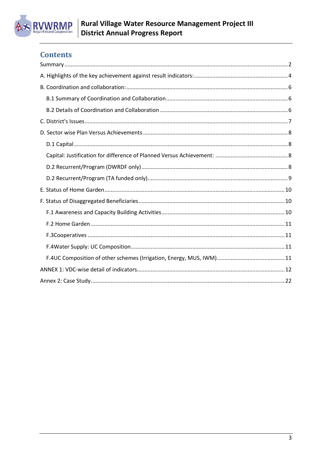

## **Contents**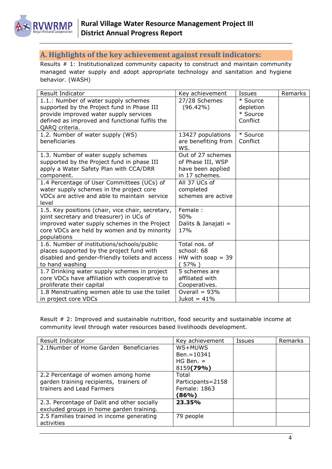

## <span id="page-3-0"></span>**A. Highlights of the key achievement against result indicators:**

Results # 1: Institutionalized community capacity to construct and maintain community managed water supply and adopt appropriate technology and sanitation and hygiene behavior. (WASH)

| Result Indicator                                  | Key achievement     | <b>Issues</b> | Remarks |
|---------------------------------------------------|---------------------|---------------|---------|
| 1.1.: Number of water supply schemes              | 27/28 Schemes       | * Source      |         |
| supported by the Project fund in Phase III        | $(96.42\%)$         | depletion     |         |
| provide improved water supply services            |                     | * Source      |         |
| defined as improved and functional fulfils the    |                     | Conflict      |         |
| QARQ criteria.                                    |                     |               |         |
| 1.2. Number of water supply (WS)                  | 13427 populations   | * Source      |         |
| beneficiaries                                     | are benefiting from | Conflict      |         |
|                                                   | WS.                 |               |         |
| 1.3. Number of water supply schemes               | Out of 27 schemes   |               |         |
| supported by the Project fund in phase III        | of Phase III, WSP   |               |         |
| apply a Water Safety Plan with CCA/DRR            | have been applied   |               |         |
| component.                                        | in 17 schemes.      |               |         |
| 1.4 Percentage of User Committees (UCs) of        | All 37 UCs of       |               |         |
| water supply schemes in the project core          | completed           |               |         |
| VDCs are active and able to maintain service      | schemes are active  |               |         |
| level                                             |                     |               |         |
| 1.5. Key positions (chair, vice chair, secretary, | Female:             |               |         |
| joint secretary and treasurer) in UCs of          | 50%                 |               |         |
| improved water supply schemes in the Project      | Dalits & Janajati = |               |         |
| core VDCs are held by women and by minority       | 17%                 |               |         |
| populations                                       |                     |               |         |
| 1.6. Number of institutions/schools/public        | Total nos, of       |               |         |
| places supported by the project fund with         | school: 68          |               |         |
| disabled and gender-friendly toilets and access   | HW with soap $=$ 39 |               |         |
| to hand washing                                   | (57%)               |               |         |
| 1.7 Drinking water supply schemes in project      | 5 schemes are       |               |         |
| core VDCs have affiliation with cooperative to    | affiliated with     |               |         |
| proliferate their capital                         | Cooperatives.       |               |         |
| 1.8 Menstruating women able to use the toilet     | Overall = $93%$     |               |         |
| in project core VDCs                              | Jukot = $41%$       |               |         |

Result # 2: Improved and sustainable nutrition, food security and sustainable income at community level through water resources based livelihoods development.

| <b>Result Indicator</b>                     | Key achievement   | <b>Issues</b> | Remarks |
|---------------------------------------------|-------------------|---------------|---------|
| 2.1Number of Home Garden Beneficiaries      | WS+MUWS           |               |         |
|                                             | Ben. = 10341      |               |         |
|                                             | $HG$ Ben. $=$     |               |         |
|                                             | 8159(79%)         |               |         |
| 2.2 Percentage of women among home          | Total             |               |         |
| garden training recipients, trainers of     | Participants=2158 |               |         |
| trainers and Lead Farmers                   | Female: 1863      |               |         |
|                                             | (86%)             |               |         |
| 2.3. Percentage of Dalit and other socially | 23.35%            |               |         |
| excluded groups in home garden training.    |                   |               |         |
| 2.5 Families trained in income generating   | 79 people         |               |         |
| activities                                  |                   |               |         |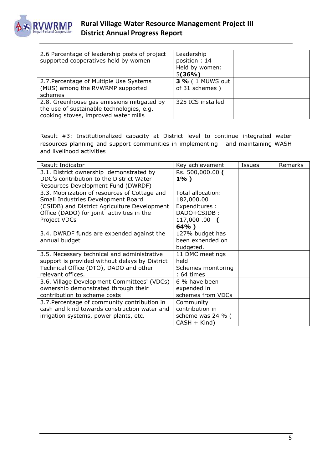

| 2.6 Percentage of leadership posts of project<br>supported cooperatives held by women                                           | Leadership<br>position: 14<br>Held by women:<br>5(36%) |  |
|---------------------------------------------------------------------------------------------------------------------------------|--------------------------------------------------------|--|
| 2.7. Percentage of Multiple Use Systems<br>(MUS) among the RVWRMP supported<br>schemes                                          | <b>3 %</b> (1 MUWS out<br>of 31 schemes)               |  |
| 2.8. Greenhouse gas emissions mitigated by<br>the use of sustainable technologies, e.g.<br>cooking stoves, improved water mills | 325 ICS installed                                      |  |

Result #3: Institutionalized capacity at District level to continue integrated water resources planning and support communities in implementing and maintaining WASH and livelihood activities

| Result Indicator                                                                                                                                                                                 | Key achievement                                                                                      | <b>Issues</b> | Remarks |
|--------------------------------------------------------------------------------------------------------------------------------------------------------------------------------------------------|------------------------------------------------------------------------------------------------------|---------------|---------|
| 3.1. District ownership demonstrated by<br>DDC's contribution to the District Water<br>Resources Development Fund (DWRDF)                                                                        | Rs. 500,000.00 (<br>$1\%$ )                                                                          |               |         |
| 3.3. Mobilization of resources of Cottage and<br>Small Industries Development Board<br>(CSIDB) and District Agriculture Development<br>Office (DADO) for joint activities in the<br>Project VDCs | Total allocation:<br>182,000.00<br>Expenditures :<br>DADO+CSIDB:<br>117,000.00<br>$\epsilon$<br>64%) |               |         |
| 3.4. DWRDF funds are expended against the<br>annual budget                                                                                                                                       | 127% budget has<br>been expended on<br>budgeted.                                                     |               |         |
| 3.5. Necessary technical and administrative<br>support is provided without delays by District<br>Technical Office (DTO), DADO and other<br>relevant offices.                                     | 11 DMC meetings<br>held<br>Schemes monitoring<br>$: 64 \times$                                       |               |         |
| 3.6. Village Development Committees' (VDCs)<br>ownership demonstrated through their<br>contribution to scheme costs                                                                              | 6 % have been<br>expended in<br>schemes from VDCs                                                    |               |         |
| 3.7. Percentage of community contribution in<br>cash and kind towards construction water and<br>irrigation systems, power plants, etc.                                                           | Community<br>contribution in<br>scheme was 24 % (<br>$CASH + Kind)$                                  |               |         |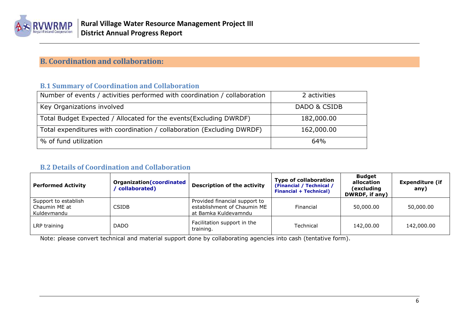

## **B. Coordination and collaboration:**

## **B.1 Summary of Coordination and Collaboration**

| Number of events / activities performed with coordination / collaboration | 2 activities |
|---------------------------------------------------------------------------|--------------|
| Key Organizations involved                                                | DADO & CSIDB |
| Total Budget Expected / Allocated for the events (Excluding DWRDF)        | 182,000.00   |
| Total expenditures with coordination / collaboration (Excluding DWRDF)    | 162,000.00   |
| % of fund utilization                                                     | 64%          |

## **B.2 Details of Coordination and Collaboration**

<span id="page-5-0"></span>

| <b>Performed Activity</b>                            | <b>Organization (coordinated</b><br>collaborated) | <b>Description of the activity</b>                                                   | <b>Type of collaboration</b><br>(Financial / Technical /<br><b>Financial + Technical)</b> | <b>Budget</b><br>allocation<br>(excluding<br>DWRDF, if any) | <b>Expenditure (if</b><br>any) |
|------------------------------------------------------|---------------------------------------------------|--------------------------------------------------------------------------------------|-------------------------------------------------------------------------------------------|-------------------------------------------------------------|--------------------------------|
| Support to establish<br>Chaumin ME at<br>Kuldevmandu | <b>CSIDB</b>                                      | Provided financial support to<br>establishment of Chaumin ME<br>at Bamka Kuldevamndu | Financial                                                                                 | 50,000.00                                                   | 50,000.00                      |
| LRP training                                         | <b>DADO</b>                                       | Facilitation support in the<br>training.                                             | Technical                                                                                 | 142,00.00                                                   | 142,000.00                     |

<span id="page-5-2"></span><span id="page-5-1"></span>Note: please convert technical and material support done by collaborating agencies into cash (tentative form).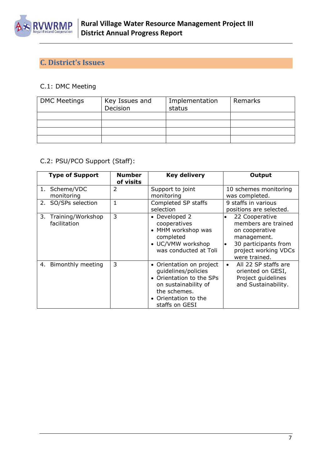

## <span id="page-6-0"></span>**C. District's Issues**

#### C.1: DMC Meeting

| <b>DMC Meetings</b> | Key Issues and<br>Decision | Implementation<br>status | Remarks |
|---------------------|----------------------------|--------------------------|---------|
|                     |                            |                          |         |
|                     |                            |                          |         |
|                     |                            |                          |         |
|                     |                            |                          |         |

## C.2: PSU/PCO Support (Staff):

| <b>Type of Support</b>               | <b>Number</b><br>of visits | <b>Key delivery</b>                                                                                                                                           | Output                                                                                                                                               |
|--------------------------------------|----------------------------|---------------------------------------------------------------------------------------------------------------------------------------------------------------|------------------------------------------------------------------------------------------------------------------------------------------------------|
| 1. Scheme/VDC<br>monitoring          | 2                          | Support to joint<br>monitoring                                                                                                                                | 10 schemes monitoring<br>was completed.                                                                                                              |
| 2. SO/SPs selection                  | $\mathbf{1}$               | Completed SP staffs<br>selection                                                                                                                              | 9 staffs in various<br>positions are selected.                                                                                                       |
| 3. Training/Workshop<br>facilitation | 3                          | • Developed 2<br>cooperatives<br>• MHM workshop was<br>completed<br>• UC/VMW workshop<br>was conducted at Toli                                                | 22 Cooperative<br>members are trained<br>on cooperative<br>management.<br>30 participants from<br>$\bullet$<br>project working VDCs<br>were trained. |
| 4. Bimonthly meeting                 | 3                          | • Orientation on project<br>guidelines/policies<br>• Orientation to the SPs<br>on sustainability of<br>the schemes.<br>• Orientation to the<br>staffs on GESI | All 22 SP staffs are<br>$\bullet$<br>oriented on GESI,<br>Project guidelines<br>and Sustainability.                                                  |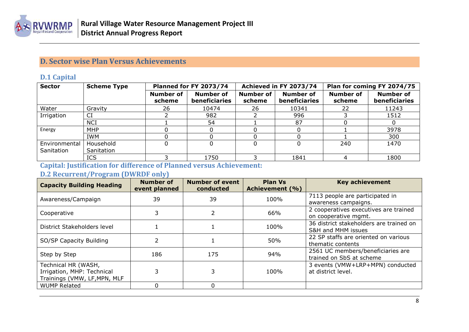

## **D. Sector wise Plan Versus Achievements**

## **D.1 Capital**

| <b>Sector</b> | <b>Scheme Type</b> |                            | Achieved in FY 2073/74<br>Planned for FY 2073/74<br>Plan for coming FY 2074/75 |                            |                                   |                            |                                   |
|---------------|--------------------|----------------------------|--------------------------------------------------------------------------------|----------------------------|-----------------------------------|----------------------------|-----------------------------------|
|               |                    | <b>Number of</b><br>scheme | <b>Number of</b><br>beneficiaries                                              | <b>Number of</b><br>scheme | <b>Number of</b><br>beneficiaries | <b>Number of</b><br>scheme | <b>Number of</b><br>beneficiaries |
| Water         | Gravity            | 26                         | 10474                                                                          | 26                         | 10341                             | 22                         | 11243                             |
| Irrigation    | CI                 |                            | 982                                                                            |                            | 996                               |                            | 1512                              |
|               | <b>NCI</b>         |                            | 54                                                                             |                            | 87                                |                            | 0                                 |
| Energy        | <b>MHP</b>         |                            |                                                                                |                            |                                   |                            | 3978                              |
|               | <b>IWM</b>         |                            |                                                                                |                            |                                   |                            | 300                               |
| Environmental | Household          |                            |                                                                                | 0                          |                                   | 240                        | 1470                              |
| Sanitation    | Sanitation         |                            |                                                                                |                            |                                   |                            |                                   |
|               | <b>ICS</b>         |                            | 1750                                                                           |                            | 1841                              | 4                          | 1800                              |

#### **Capital: Justification for difference of Planned versus Achievement:**

#### **D.2 Recurrent/Program (DWRDF only)**

<span id="page-7-3"></span><span id="page-7-2"></span><span id="page-7-1"></span><span id="page-7-0"></span>

| <b>Capacity Building Heading</b>                                                  | <b>Number of</b><br>event planned | <b>Number of event</b><br>conducted | <b>Plan Vs</b><br>Achievement (%) | <b>Key achievement</b>                                        |
|-----------------------------------------------------------------------------------|-----------------------------------|-------------------------------------|-----------------------------------|---------------------------------------------------------------|
| Awareness/Campaign                                                                | 39                                | 39                                  | 100%                              | 7113 people are participated in<br>awareness campaigns.       |
| Cooperative                                                                       |                                   |                                     | 66%                               | 2 cooperatives executives are trained<br>on cooperative mgmt. |
| District Stakeholders level                                                       |                                   |                                     | 100%                              | 36 district stakeholders are trained on<br>S&H and MHM issues |
| SO/SP Capacity Building                                                           |                                   |                                     | 50%                               | 22 SP staffs are oriented on various<br>thematic contents     |
| Step by Step                                                                      | 186                               | 175                                 | 94%                               | 2561 UC members/beneficiaries are<br>trained on SbS at scheme |
| Technical HR (WASH,<br>Irrigation, MHP: Technical<br>Trainings (VMW, LF, MPN, MLF |                                   |                                     | 100%                              | 3 events (VMW+LRP+MPN) conducted<br>at district level.        |
| <b>WUMP Related</b>                                                               |                                   | $\Omega$                            |                                   |                                                               |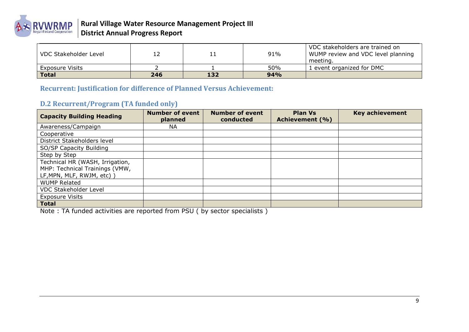

| VDC Stakeholder Level |     | ᆂᆂ  | 91% | VDC stakeholders are trained on<br>WUMP review and VDC level planning<br>meeting. |
|-----------------------|-----|-----|-----|-----------------------------------------------------------------------------------|
| Exposure Visits       |     |     | 50% | 1 event organized for DMC                                                         |
| <b>Total</b>          | 246 | 132 | 94% |                                                                                   |

**Recurrent: Justification for difference of Planned Versus Achievement:**

## **D.2 Recurrent/Program (TA funded only)**

| <b>Capacity Building Heading</b> | <b>Number of event</b><br>planned | <b>Number of event</b><br>conducted | <b>Plan Vs</b><br>Achievement (%) | <b>Key achievement</b> |
|----------------------------------|-----------------------------------|-------------------------------------|-----------------------------------|------------------------|
| Awareness/Campaign               | <b>NA</b>                         |                                     |                                   |                        |
| Cooperative                      |                                   |                                     |                                   |                        |
| District Stakeholders level      |                                   |                                     |                                   |                        |
| SO/SP Capacity Building          |                                   |                                     |                                   |                        |
| Step by Step                     |                                   |                                     |                                   |                        |
| Technical HR (WASH, Irrigation,  |                                   |                                     |                                   |                        |
| MHP: Technical Trainings (VMW,   |                                   |                                     |                                   |                        |
| LF, MPN, MLF, RWJM, etc))        |                                   |                                     |                                   |                        |
| <b>WUMP Related</b>              |                                   |                                     |                                   |                        |
| <b>VDC Stakeholder Level</b>     |                                   |                                     |                                   |                        |
| <b>Exposure Visits</b>           |                                   |                                     |                                   |                        |
| <b>Total</b>                     |                                   |                                     |                                   |                        |

<span id="page-8-0"></span>Note : TA funded activities are reported from PSU ( by sector specialists )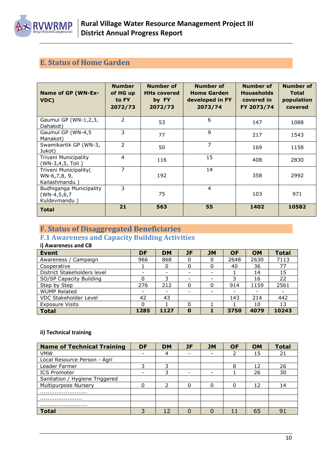

## <span id="page-9-0"></span>**E. Status of Home Garden**

| Name of GP (WN-Ex-<br>VDC)                                   | <b>Number</b><br>of HG up<br>to FY<br>2072/73 | <b>Number of</b><br><b>HHs covered</b><br>by FY<br>2072/73 | Number of<br><b>Home Garden</b><br>developed in FY<br>2073/74 | Number of<br><b>Households</b><br>covered in<br>FY 2073/74 | Number of<br><b>Total</b><br>population<br>covered |
|--------------------------------------------------------------|-----------------------------------------------|------------------------------------------------------------|---------------------------------------------------------------|------------------------------------------------------------|----------------------------------------------------|
| Gaumul GP (WN-1,2,3,<br>Dahakot)                             | 2                                             | 53                                                         | 6                                                             | 147                                                        | 1088                                               |
| Gaumul GP (WN-4,5<br>Manakot)                                | 3                                             | 77                                                         | 9                                                             | 217                                                        | 1543                                               |
| Swamikartik GP (WN-3,<br>Jukot)                              | $\mathcal{P}$                                 | 50                                                         | 7                                                             | 169                                                        | 1158                                               |
| Triveni Municipality<br>(WN-3,4,5, Toli)                     | 4                                             | 116                                                        | 15                                                            | 408                                                        | 2830                                               |
| Triveni Municipality(<br>WN-6,7,8, 9,<br>Kailashmandu)       | 7                                             | 192                                                        | 14                                                            | 358                                                        | 2992                                               |
| Budhiganga Municipality<br>$(WN-4, 5, 6, 7)$<br>Kuldevmandu) | 3                                             | 75                                                         | $\overline{4}$                                                | 103                                                        | 971                                                |
| <b>Total</b>                                                 | 21                                            | 563                                                        | 55                                                            | 1402                                                       | 10582                                              |

## <span id="page-9-1"></span>**F. Status of Disaggregated Beneficiaries**

## <span id="page-9-2"></span>**F.1 Awareness and Capacity Building Activities**

#### **i) Awareness and CB**

| <b>Event</b>                | <b>DF</b> | <b>DM</b> | <b>JF</b>                | <b>JM</b>                | <b>OF</b> | OM   | <b>Total</b> |
|-----------------------------|-----------|-----------|--------------------------|--------------------------|-----------|------|--------------|
| Awareness / Campaign        | 966       | 868       |                          | 0                        | 2648      | 2630 | 7113         |
| Cooperative                 |           | 0         | 0                        | 0                        | 40        | 36   | 77           |
| District Stakeholders level | -         | -         | $\overline{\phantom{0}}$ | $\overline{\phantom{0}}$ |           | 14   | 15           |
| SO/SP Capacity Building     | 0         | 3         | $\overline{\phantom{0}}$ |                          | 3         | 16   | 22           |
| Step by Step                | 276       | 212       | 0                        | 0                        | 914       | 1159 | 2561         |
| <b>WUMP Related</b>         |           |           | -                        |                          |           |      |              |
| VDC Stakeholder Level       | 42        | 43        |                          |                          | 143       | 214  | 442          |
| <b>Exposure Visits</b>      | 0         |           |                          |                          |           | 10   | 13           |
| <b>Total</b>                | 1285      | 1127      | $\bf{0}$                 |                          | 3750      | 4079 | 10243        |

#### **ii) Technical training**

| <b>Name of Technical Training</b> | <b>DF</b> | <b>DM</b> | JF | <b>JM</b> | <b>OF</b> | <b>OM</b> | <b>Total</b> |
|-----------------------------------|-----------|-----------|----|-----------|-----------|-----------|--------------|
| <b>VMW</b>                        |           | 4         |    |           |           | 15        | 21           |
| Local Resource Person - Agri      |           |           |    |           |           |           |              |
| Leader Farmer                     | 3         | 3         |    |           | 8         | 12        | 26           |
| <b>ICS Promoter</b>               | -         | 3         |    |           |           | 26        | 30           |
| Sanitation / Hygiene Triggered    |           |           |    |           |           |           |              |
| Multipurpose Nursery              |           | ว         | 0  | 0         |           | 12        | 14           |
|                                   |           |           |    |           |           |           |              |
|                                   |           |           |    |           |           |           |              |
|                                   |           |           |    |           |           |           |              |
| Total                             |           |           |    |           |           | 65        | 91           |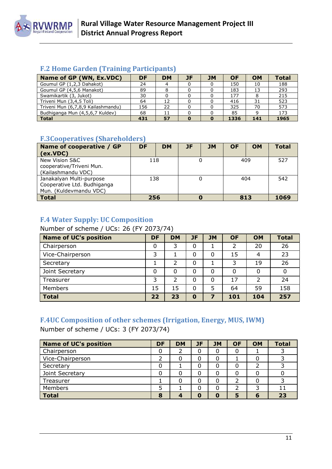

## <span id="page-10-0"></span>**F.2 Home Garden (Training Participants)**

| Name of GP (WN, Ex.VDC)            | <b>DF</b> | <b>DM</b> | JF | <b>JM</b>    | <b>OF</b> | <b>OM</b> | <b>Total</b> |
|------------------------------------|-----------|-----------|----|--------------|-----------|-----------|--------------|
| Goumul GP (1,2,3 Dahakot)          | 24        |           |    | 0            | 150       | 10        | 188          |
| Goumul GP (4,5,6 Manakot)          | 89        |           |    |              | 183       | 13        | 293          |
| Swamikartik (3, Jukot)             | 30        |           |    |              | 177       |           | 215          |
| Triveni Mun (3,4,5 Toli)           | 64        | 12        |    |              | 416       | 31        | 523          |
| Triveni Mun (6,7,8,9 Kailashmandu) | 156       | 22        |    |              | 325       | 70        | 573          |
| Budhiganga Mun (4,5,6,7 Kuldev)    | 68        | 11        |    |              | 85        |           | 173          |
| <b>Total</b>                       | 431       | 57        |    | $\mathbf{o}$ | 1336      | 141       | 1965         |

## <span id="page-10-1"></span>**F.3Cooperatives (Shareholders)**

| Name of cooperative / GP    | <b>DF</b> | <b>DM</b> | JF | <b>JM</b> | <b>OF</b> | <b>OM</b> | <b>Total</b> |
|-----------------------------|-----------|-----------|----|-----------|-----------|-----------|--------------|
| (ex.VDC)                    |           |           |    |           |           |           |              |
| New Vision S&C              | 118       |           | 0  |           | 409       |           | 527          |
| cooperative/Triveni Mun.    |           |           |    |           |           |           |              |
| (Kailashmandu VDC)          |           |           |    |           |           |           |              |
| Janakalyan Multi-purpose    | 138       |           |    |           | 404       |           | 542          |
| Cooperative Ltd. Budhiganga |           |           |    |           |           |           |              |
| Mun. (Kuldevmandu VDC)      |           |           |    |           |           |           |              |
| <b>Total</b>                | 256       |           |    |           | 813       |           | 1069         |

## <span id="page-10-2"></span>**F.4 Water Supply: UC Composition**

Number of scheme / UCs: 26 (FY 2073/74)

| <b>Name of UC's position</b> | DF | <b>DM</b>     | <b>JF</b> | <b>JM</b> | <b>OF</b> | <b>OM</b> | <b>Total</b> |
|------------------------------|----|---------------|-----------|-----------|-----------|-----------|--------------|
| Chairperson                  | 0  | 3             | 0         |           | 2         | 20        | 26           |
| Vice-Chairperson             | 3  |               | 0         | 0         | 15        | 4         | 23           |
| Secretary                    |    | $\mathcal{P}$ | 0         |           | 3         | 19        | 26           |
| Joint Secretary              | 0  | 0             | 0         | 0         |           | 0         |              |
| Treasurer                    | 3  | $\mathcal{D}$ | 0         | 0         | 17        | っ         | 24           |
| Members                      | 15 | 15            | $\Omega$  | 5         | 64        | 59        | 158          |
| <b>Total</b>                 | 22 | 23            | 0         | 7         | 101       | 104       | 257          |

## <span id="page-10-3"></span>**F.4UC Composition of other schemes (Irrigation, Energy, MUS, IWM)**

Number of scheme / UCs: 3 (FY 2073/74)

| <b>Name of UC's position</b> | DF | <b>DM</b> | <b>JF</b> | <b>JM</b> | <b>OF</b> | <b>OM</b> | <b>Total</b> |
|------------------------------|----|-----------|-----------|-----------|-----------|-----------|--------------|
| Chairperson                  |    |           |           |           |           |           |              |
| Vice-Chairperson             |    |           |           |           |           |           |              |
| Secretary                    |    |           | 0         |           |           |           |              |
| Joint Secretary              |    |           |           |           |           |           |              |
| Treasurer                    |    |           | 0         |           |           |           |              |
| Members                      |    |           |           |           |           |           | 11           |
| <b>Total</b>                 |    |           | Ω         | n         |           |           | 23           |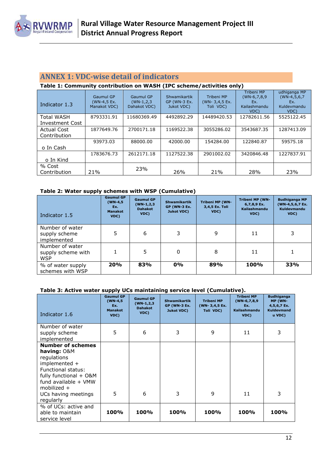

## <span id="page-11-0"></span>**ANNEX 1: VDC-wise detail of indicators**

#### **Table 1: Community contribution on WASH (IPC scheme/activities only)**

| Indicator 1.3      | Gaumul GP<br>(WN-4,5 Ex.<br>Manakot VDC) | Gaumul GP<br>$(WN-1,2,3)$<br>Dahakot VDC) | Shwamikartik<br>GP (WN-3 Ex.<br>Jukot VDC) | <b>Tribeni MP</b><br>(WN-3,4,5 Ex.<br>Toli VDC) | <b>Tribeni MP</b><br>$(WN-6,7,8,9)$<br>Ex.<br>Kailashmandu<br>VDC) | udhiganga MP<br>$(WN-4, 5, 6, 7)$<br>Ex.<br>Kuldevmandu<br>VDC) |
|--------------------|------------------------------------------|-------------------------------------------|--------------------------------------------|-------------------------------------------------|--------------------------------------------------------------------|-----------------------------------------------------------------|
| <b>Total WASH</b>  | 8793331.91                               | 11680369.49                               | 4492892.29                                 | 14489420.53                                     | 12782611.56                                                        | 5525122.45                                                      |
| Investment Cost    |                                          |                                           |                                            |                                                 |                                                                    |                                                                 |
| <b>Actual Cost</b> | 1877649.76                               | 2700171.18                                | 1169522.38                                 | 3055286.02                                      | 3543687.35                                                         | 1287413.09                                                      |
| Contribution       |                                          |                                           |                                            |                                                 |                                                                    |                                                                 |
|                    | 93973.03                                 | 88000.00                                  | 42000.00                                   | 154284.00                                       | 122840.87                                                          | 59575.18                                                        |
| o In Cash          |                                          |                                           |                                            |                                                 |                                                                    |                                                                 |
|                    | 1783676.73                               | 2612171.18                                | 1127522.38                                 | 2901002.02                                      | 3420846.48                                                         | 1227837.91                                                      |
| o In Kind          |                                          |                                           |                                            |                                                 |                                                                    |                                                                 |
| % Cost             |                                          | 23%                                       |                                            |                                                 |                                                                    |                                                                 |
| Contribution       | 21%                                      |                                           | 26%                                        | 21%                                             | 28%                                                                | 23%                                                             |

#### **Table 2: Water supply schemes with WSP (Cumulative)**

| Indicator 1.5                                       | <b>Gaumul GP</b><br>$(WN-4,5)$<br>Ex.<br><b>Manakot</b><br>VDC) | <b>Gaumul GP</b><br>$(WN-1, 2, 3)$<br><b>Dahakot</b><br>VDC) | <b>Shwamikartik</b><br><b>GP (WN-3 Ex.</b><br><b>Jukot VDC)</b> | Tribeni MP (WN-<br>3,4,5 Ex. Toli<br>VDC) | Tribeni MP (WN-<br>6,7,8,9 Ex.<br>Kailashmandu<br>VDC) | <b>Budhiganga MP</b><br>(WN-4,5,6,7 Ex.<br>Kuldevmandu<br>VDC) |
|-----------------------------------------------------|-----------------------------------------------------------------|--------------------------------------------------------------|-----------------------------------------------------------------|-------------------------------------------|--------------------------------------------------------|----------------------------------------------------------------|
| Number of water<br>supply scheme<br>implemented     | 5                                                               | 6                                                            | 3                                                               | 9                                         | 11                                                     | 3                                                              |
| Number of water<br>supply scheme with<br><b>WSP</b> |                                                                 | 5                                                            | 0                                                               | 8                                         | 11                                                     |                                                                |
| % of water supply<br>schemes with WSP               | 20%                                                             | 83%                                                          | 0%                                                              | 89%                                       | 100%                                                   | 33%                                                            |

#### **Table 3: Active water supply UCs maintaining service level (Cumulative).**

| Indicator 1.6                                                                                                                                                                                          | <b>Gaumul GP</b><br>$(WN-4,5)$<br>Ex.<br><b>Manakot</b><br>VDC) | <b>Gaumul GP</b><br>$(WN-1, 2, 3)$<br><b>Dahakot</b><br>VDC) | <b>Shwamikartik</b><br><b>GP (WN-3 Ex.</b><br><b>Jukot VDC)</b> | <b>Tribeni MP</b><br>(WN-3,4,5 Ex.<br>Toli VDC) | <b>Tribeni MP</b><br>$(WN-6, 7, 8, 9)$<br>Ex.<br>Kailashmandu<br>VDC) | <b>Budhiganga</b><br>MP (WN-<br>4,5,6,7 Ex.<br>Kuldevmand<br>u VDC) |
|--------------------------------------------------------------------------------------------------------------------------------------------------------------------------------------------------------|-----------------------------------------------------------------|--------------------------------------------------------------|-----------------------------------------------------------------|-------------------------------------------------|-----------------------------------------------------------------------|---------------------------------------------------------------------|
| Number of water<br>supply scheme<br>implemented                                                                                                                                                        | 5                                                               | 6                                                            | 3                                                               | 9                                               | 11                                                                    | 3                                                                   |
| <b>Number of schemes</b><br>having: O&M<br>regulations<br>implemented +<br>Functional status:<br>fully functional + O&M<br>fund available $+$ VMW<br>mobilized $+$<br>UCs having meetings<br>regularly | 5                                                               | 6                                                            | 3                                                               | 9                                               | 11                                                                    | 3                                                                   |
| % of UCs: active and<br>able to maintain<br>service level                                                                                                                                              | 100%                                                            | 100%                                                         | <b>100%</b>                                                     | <b>100%</b>                                     | 100%                                                                  | 100%                                                                |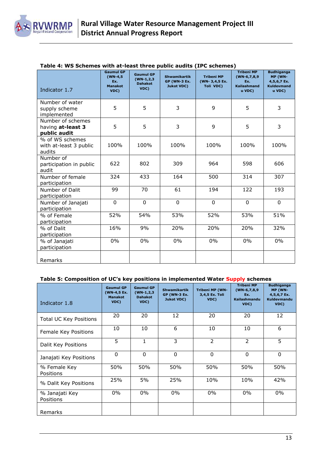

| Indicator 1.7                                          | <b>Gaumul GP</b><br>$(WN-4, 5)$<br>Ex.<br><b>Manakot</b><br>VDC) | <b>Gaumul GP</b><br>$(WN-1, 2, 3)$<br><b>Dahakot</b><br>VDC) | <b>Shwamikartik</b><br><b>GP (WN-3 Ex.</b><br><b>Jukot VDC)</b> | <b>Tribeni MP</b><br>(WN-3,4,5 Ex.<br>Toli VDC) | <b>Tribeni MP</b><br>$(WN-6,7,8,9)$<br>Ex.<br><b>Kailashmand</b><br>u VDC) | <b>Budhiganga</b><br>MP (WN-<br>4,5,6,7 Ex.<br><b>Kuldevmand</b><br>u VDC) |
|--------------------------------------------------------|------------------------------------------------------------------|--------------------------------------------------------------|-----------------------------------------------------------------|-------------------------------------------------|----------------------------------------------------------------------------|----------------------------------------------------------------------------|
| Number of water<br>supply scheme<br>implemented        | 5                                                                | 5                                                            | 3                                                               | 9                                               | 5                                                                          | 3                                                                          |
| Number of schemes<br>having at-least 3<br>public audit | 5                                                                | 5                                                            | 3                                                               | 9                                               | 5                                                                          | 3                                                                          |
| % of WS schemes<br>with at-least 3 public<br>audits    | 100%                                                             | 100%                                                         | 100%                                                            | 100%                                            | 100%                                                                       | 100%                                                                       |
| Number of<br>participation in public<br>audit          | 622                                                              | 802                                                          | 309                                                             | 964                                             | 598                                                                        | 606                                                                        |
| Number of female<br>participation                      | 324                                                              | 433                                                          | 164                                                             | 500                                             | 314                                                                        | 307                                                                        |
| Number of Dalit<br>participation                       | 99                                                               | 70                                                           | 61                                                              | 194                                             | 122                                                                        | 193                                                                        |
| Number of Janajati<br>participation                    | $\mathbf{0}$                                                     | $\Omega$                                                     | $\mathbf{0}$                                                    | $\mathbf 0$                                     | $\Omega$                                                                   | $\Omega$                                                                   |
| % of Female<br>participation                           | 52%                                                              | 54%                                                          | 53%                                                             | 52%                                             | 53%                                                                        | 51%                                                                        |
| % of Dalit<br>participation                            | 16%                                                              | 9%                                                           | 20%                                                             | 20%                                             | 20%                                                                        | 32%                                                                        |
| % of Janajati<br>participation                         | $0\%$                                                            | 0%                                                           | $0\%$                                                           | 0%                                              | $0\%$                                                                      | $0\%$                                                                      |
| Remarks                                                |                                                                  |                                                              |                                                                 |                                                 |                                                                            |                                                                            |

#### **Table 5: Composition of UC's key positions in implemented Water Supply schemes**

| Indicator 1.8                 | <b>Gaumul GP</b><br>(WN-4,5 Ex.<br><b>Manakot</b><br>VDC) | <b>Gaumul GP</b><br>$(WN-1, 2, 3)$<br><b>Dahakot</b><br>VDC) | <b>Shwamikartik</b><br><b>GP (WN-3 Ex.</b><br><b>Jukot VDC)</b> | <b>Tribeni MP (WN-</b><br>3,4,5 Ex. Toli<br>VDC) | <b>Tribeni MP</b><br>$(WN-6,7,8,9)$<br>Ex.<br>Kailashmandu<br>VDC) | <b>Budhiganga</b><br>MP (WN-<br>4,5,6,7 Ex.<br>Kuldevmandu<br>VDC) |
|-------------------------------|-----------------------------------------------------------|--------------------------------------------------------------|-----------------------------------------------------------------|--------------------------------------------------|--------------------------------------------------------------------|--------------------------------------------------------------------|
| <b>Total UC Key Positions</b> | 20                                                        | 20                                                           | 12                                                              | 20                                               | 20                                                                 | 12                                                                 |
| Female Key Positions          | 10                                                        | 10                                                           | 6                                                               | 10                                               | 10                                                                 | 6                                                                  |
| Dalit Key Positions           | 5                                                         | 1                                                            | 3                                                               | $\overline{2}$                                   | $\overline{2}$                                                     | 5                                                                  |
| Janajati Key Positions        | $\mathbf{0}$                                              | $\Omega$                                                     | $\Omega$                                                        | $\Omega$                                         | $\Omega$                                                           | $\mathbf{0}$                                                       |
| % Female Key<br>Positions     | 50%                                                       | 50%                                                          | 50%                                                             | 50%                                              | 50%                                                                | 50%                                                                |
| % Dalit Key Positions         | 25%                                                       | 5%                                                           | 25%                                                             | 10%                                              | 10%                                                                | 42%                                                                |
| % Janajati Key<br>Positions   | $0\%$                                                     | $0\%$                                                        | $0\%$                                                           | $0\%$                                            | $0\%$                                                              | $0\%$                                                              |
| Remarks                       |                                                           |                                                              |                                                                 |                                                  |                                                                    |                                                                    |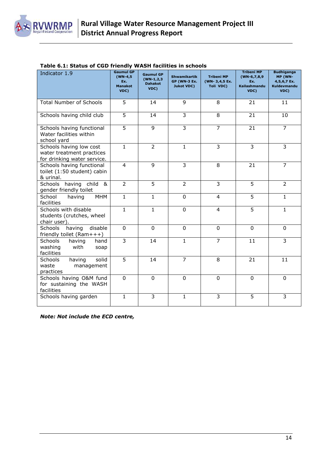

|  |  |  |  | Table 6.1: Status of CGD friendly WASH facilities in schools |
|--|--|--|--|--------------------------------------------------------------|
|--|--|--|--|--------------------------------------------------------------|

| Indicator 1.9                                                                       | <b>Gaumul GP</b><br>$(WN-4,5)$<br>Ex.<br><b>Manakot</b><br>VDC) | <b>Gaumul GP</b><br>$(WN-1, 2, 3)$<br><b>Dahakot</b><br>VDC) | <b>Shwamikartik</b><br><b>GP (WN-3 Ex.</b><br><b>Jukot VDC)</b> | <b>Tribeni MP</b><br>(WN-3,4,5 Ex.<br>Toli VDC) | <b>Tribeni MP</b><br>$(WN-6,7,8,9)$<br>Ex.<br>Kailashmandu<br>VDC) | <b>Budhiganga</b><br>MP (WN-<br>4,5,6,7 Ex.<br>Kuldevmandu<br>VDC) |
|-------------------------------------------------------------------------------------|-----------------------------------------------------------------|--------------------------------------------------------------|-----------------------------------------------------------------|-------------------------------------------------|--------------------------------------------------------------------|--------------------------------------------------------------------|
| <b>Total Number of Schools</b>                                                      | 5                                                               | 14                                                           | 9                                                               | 8                                               | 21                                                                 | 11                                                                 |
| Schools having child club                                                           | 5                                                               | 14                                                           | $\mathbf{3}$                                                    | 8                                               | 21                                                                 | 10                                                                 |
| Schools having functional<br>Water facilities within<br>school yard                 | $\overline{5}$                                                  | 9                                                            | 3                                                               | $\overline{7}$                                  | 21                                                                 | $\overline{7}$                                                     |
| Schools having low cost<br>water treatment practices<br>for drinking water service. | $\mathbf{1}$                                                    | $\overline{2}$                                               | $\mathbf{1}$                                                    | 3                                               | 3                                                                  | 3                                                                  |
| Schools having functional<br>toilet (1:50 student) cabin<br>& urinal.               | $\overline{4}$                                                  | 9                                                            | 3                                                               | 8                                               | 21                                                                 | $\overline{7}$                                                     |
| Schools having child &<br>gender friendly toilet                                    | $\overline{2}$                                                  | 5                                                            | $\overline{2}$                                                  | 3                                               | 5                                                                  | $\overline{2}$                                                     |
| School<br><b>MHM</b><br>having<br>facilities                                        | $\mathbf{1}$                                                    | $\mathbf{1}$                                                 | $\mathbf{0}$                                                    | $\overline{4}$                                  | 5                                                                  | $\mathbf{1}$                                                       |
| Schools with disable<br>students (crutches, wheel<br>chair user).                   | $\mathbf{1}$                                                    | $\mathbf{1}$                                                 | $\mathbf{0}$                                                    | 4                                               | 5                                                                  | $\mathbf{1}$                                                       |
| disable<br><b>Schools</b><br>having<br>friendly toilet (Ram+++)                     | $\Omega$                                                        | $\mathbf{0}$                                                 | $\mathbf{0}$                                                    | $\Omega$                                        | $\mathbf{0}$                                                       | $\Omega$                                                           |
| Schools<br>having<br>hand<br>washing<br>with<br>soap<br>facilities                  | 3                                                               | 14                                                           | $\mathbf{1}$                                                    | $\overline{7}$                                  | 11                                                                 | 3                                                                  |
| solid<br>Schools<br>having<br>waste<br>management<br>practices                      | 5                                                               | 14                                                           | $\overline{7}$                                                  | 8                                               | 21                                                                 | 11                                                                 |
| Schools having O&M fund<br>for sustaining the WASH<br>facilities                    | $\Omega$                                                        | $\mathbf{0}$                                                 | $\Omega$                                                        | $\Omega$                                        | $\Omega$                                                           | 0                                                                  |
| Schools having garden                                                               | 1                                                               | 3                                                            | $\mathbf{1}$                                                    | 3                                               | 5                                                                  | 3                                                                  |

*Note: Not include the ECD centre,*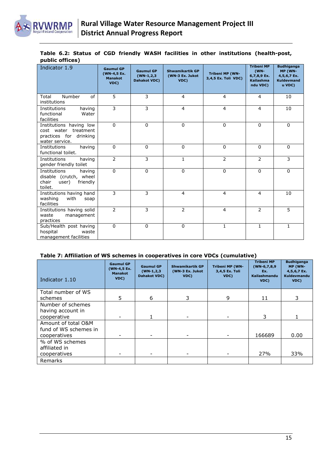

#### **Table 6.2: Status of CGD friendly WASH facilities in other institutions (health-post, public offices)**

| Indicator 1.9                                                                                  | <b>Gaumul GP</b><br>(WN-4,5 Ex.<br><b>Manakot</b><br>VDC) | <b>Gaumul GP</b><br>$(WN-1, 2, 3)$<br><b>Dahakot VDC)</b> | <b>Shwamikartik GP</b><br>(WN-3 Ex. Jukot<br>VDC) | Tribeni MP (WN-<br>3,4,5 Ex. Toli VDC) | <b>Tribeni MP</b><br>(WN-<br>6,7,8,9 Ex.<br><b>Kailashma</b><br>ndu VDC) | <b>Budhiganga</b><br>MP (WN-<br>4,5,6,7 Ex.<br><b>Kuldevmand</b><br>u VDC) |
|------------------------------------------------------------------------------------------------|-----------------------------------------------------------|-----------------------------------------------------------|---------------------------------------------------|----------------------------------------|--------------------------------------------------------------------------|----------------------------------------------------------------------------|
| Total<br>Number<br>of<br>institutions                                                          | 5                                                         | 3                                                         | $\overline{4}$                                    | $\overline{4}$                         | 4                                                                        | 10                                                                         |
| Institutions<br>having<br>functional<br>Water<br>facilities                                    | 3                                                         | 3                                                         | $\overline{4}$                                    | 4                                      | $\overline{4}$                                                           | 10                                                                         |
| Institutions having low<br>cost water treatment<br>practices for<br>drinking<br>water service. | $\Omega$                                                  | $\Omega$                                                  | $\Omega$                                          | $\Omega$                               | $\Omega$                                                                 | $\Omega$                                                                   |
| Institutions<br>having<br>functional toilet.                                                   | $\Omega$                                                  | $\Omega$                                                  | $\Omega$                                          | $\Omega$                               | $\Omega$                                                                 | $\Omega$                                                                   |
| Institutions<br>having<br>gender friendly toilet                                               | $\overline{2}$                                            | 3                                                         | $\mathbf{1}$                                      | $\overline{2}$                         | $\overline{2}$                                                           | 3                                                                          |
| Institutions<br>having<br>disable (crutch, wheel<br>friendly<br>chair<br>user)<br>toilet.      | $\Omega$                                                  | $\mathbf 0$                                               | $\Omega$                                          | $\mathbf 0$                            | $\Omega$                                                                 | $\Omega$                                                                   |
| Institutions having hand<br>washing<br>with<br>soap<br>facilities                              | 3                                                         | 3                                                         | $\overline{4}$                                    | 4                                      | 4                                                                        | 10                                                                         |
| Institutions having solid<br>waste<br>management<br>practices                                  | $\overline{2}$                                            | 3                                                         | $\overline{2}$                                    | $\overline{4}$                         | $\overline{2}$                                                           | 5                                                                          |
| Sub/Health post having<br>hospital<br>waste<br>management facilities                           | $\Omega$                                                  | $\Omega$                                                  | $\Omega$                                          | 1                                      | $\mathbf{1}$                                                             | 1                                                                          |

#### **Table 7: Affiliation of WS schemes in cooperatives in core VDCs (cumulative)**

| Indicator 1.10                                               | <b>Gaumul GP</b><br>(WN-4,5 Ex.<br><b>Manakot</b><br>VDC) | <b>Gaumul GP</b><br>$(WN-1, 2, 3)$<br><b>Dahakot VDC)</b> | <b>Shwamikartik GP</b><br>(WN-3 Ex. Jukot<br>VDC) | Tribeni MP (WN-<br>3,4,5 Ex. Toli<br>VDC) | <b>Tribeni MP</b><br>$(WN-6,7,8,9)$<br>Ex.<br><b>Kailashmandu</b><br>VDC) | <b>Budhiganga</b><br>MP (WN-<br>4,5,6,7 Ex.<br>Kuldevmandu<br>VDC) |
|--------------------------------------------------------------|-----------------------------------------------------------|-----------------------------------------------------------|---------------------------------------------------|-------------------------------------------|---------------------------------------------------------------------------|--------------------------------------------------------------------|
| Total number of WS                                           |                                                           |                                                           |                                                   |                                           |                                                                           |                                                                    |
| schemes                                                      | 5                                                         | 6                                                         | 3                                                 | 9                                         | 11                                                                        | 3                                                                  |
| Number of schemes<br>having account in<br>cooperative        |                                                           |                                                           |                                                   |                                           | 3                                                                         |                                                                    |
| Amount of total O&M<br>fund of WS schemes in<br>cooperatives | $\overline{\phantom{0}}$                                  |                                                           |                                                   |                                           | 166689                                                                    | 0.00                                                               |
| % of WS schemes<br>affiliated in<br>cooperatives             | $\overline{\phantom{0}}$                                  |                                                           |                                                   |                                           | 27%                                                                       | 33%                                                                |
| Remarks                                                      |                                                           |                                                           |                                                   |                                           |                                                                           |                                                                    |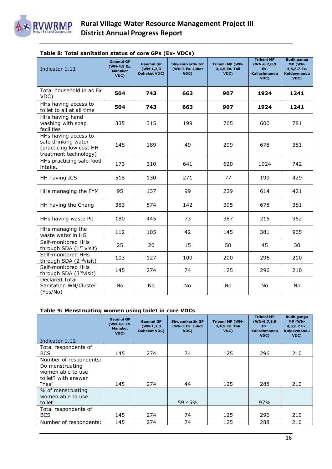

| Indicator 1.11                                                                                  | <b>Gaumul GP</b><br>(WN-4,5 Ex.<br><b>Manakot</b><br>VDC) | <b>Gaumul GP</b><br>$(WN-1,2,3)$<br><b>Dahakot VDC)</b> | <b>Shwamikartik GP</b><br>(WN-3 Ex. Jukot<br>VDC) | Tribeni MP (WN-<br>3,4,5 Ex. Toli<br>VDC) | <b>Tribeni MP</b><br>$(WN-6,7,8,9)$<br>Ex.<br>Kailashmandu<br>VDC) | <b>Budhiganga</b><br>MP (WN-<br>4,5,6,7 Ex.<br>Kuldevmandu<br>VDC) |
|-------------------------------------------------------------------------------------------------|-----------------------------------------------------------|---------------------------------------------------------|---------------------------------------------------|-------------------------------------------|--------------------------------------------------------------------|--------------------------------------------------------------------|
| Total household in as Ex<br>VDC)                                                                | 504                                                       | 743                                                     | 663                                               | 907                                       | 1924                                                               | 1241                                                               |
| HHs having access to<br>toilet to all at all time                                               | 504                                                       | 743                                                     | 663                                               | 907                                       | 1924                                                               | 1241                                                               |
| HHs having hand<br>washing with soap<br>facilities                                              | 335                                                       | 315                                                     | 199                                               | 765                                       | 600                                                                | 781                                                                |
| HHs having access to<br>safe drinking water<br>(practicing low cost HH<br>treatment technology) | 148                                                       | 189                                                     | 49                                                | 299                                       | 678                                                                | 381                                                                |
| HHs practicing safe food<br>intake.                                                             | 173                                                       | 310                                                     | 641                                               | 620                                       | 1924                                                               | 742                                                                |
| HH having ICS                                                                                   | 518                                                       | 130                                                     | 271                                               | 77                                        | 199                                                                | 429                                                                |
| HHs managing the FYM                                                                            | 95                                                        | 137                                                     | 99                                                | 229                                       | 614                                                                | 421                                                                |
| HH having the Chang                                                                             | 383                                                       | 574                                                     | 142                                               | 395                                       | 678                                                                | 381                                                                |
| HHs having waste Pit                                                                            | 180                                                       | 445                                                     | 73                                                | 387                                       | 215                                                                | 952                                                                |
| HHs managing the<br>waste water in HG                                                           | 112                                                       | 105                                                     | 42                                                | 145                                       | 381                                                                | 965                                                                |
| Self-monitored HHs<br>through SDA (1 <sup>st</sup> visit)                                       | 25                                                        | 20                                                      | 15                                                | 50                                        | 45                                                                 | 30                                                                 |
| Self-monitored HHs<br>through SDA (2 <sup>nd</sup> visit)                                       | 103                                                       | 127                                                     | 109                                               | 200                                       | 296                                                                | 210                                                                |
| Self-monitored HHs<br>through SDA (3rdvisit)                                                    | 145                                                       | 274                                                     | 74                                                | 125                                       | 296                                                                | 210                                                                |
| Declared Total<br>Sanitation WN/Cluster<br>(Yes/No)                                             | No                                                        | No                                                      | No                                                | <b>No</b>                                 | No                                                                 | No                                                                 |

#### **Table 8: Total sanitation status of core GPs (Ex- VDCs)**

#### **Table 9: Menstruating women using toilet in core VDCs**

|                                                                                                | <b>Gaumul GP</b><br>(WN-4,5 Ex.<br><b>Manakot</b><br>VDC) | <b>Gaumul GP</b><br>$(WN-1, 2, 3)$<br><b>Dahakot VDC)</b> | <b>Shwamikartik GP</b><br>(WN-3 Ex. Jukot<br>VDC) | <b>Tribeni MP (WN-</b><br>3,4,5 Ex. Toli<br>VDC) | <b>Tribeni MP</b><br>$(WN-6,7,8,9)$<br>Ex.<br><b>Kailashmandu</b><br>VDC) | <b>Budhiganga</b><br>MP (WN-<br>4,5,6,7 Ex.<br><b>Kuldevmandu</b><br>VDC) |
|------------------------------------------------------------------------------------------------|-----------------------------------------------------------|-----------------------------------------------------------|---------------------------------------------------|--------------------------------------------------|---------------------------------------------------------------------------|---------------------------------------------------------------------------|
| Indicator 1.12                                                                                 |                                                           |                                                           |                                                   |                                                  |                                                                           |                                                                           |
| Total respondents of<br><b>BCS</b>                                                             | 145                                                       | 274                                                       | 74                                                | 125                                              | 296                                                                       | 210                                                                       |
| Number of respondents:<br>Do menstruating<br>women able to use<br>toilet? with answer<br>"Yes" | 145                                                       | 274                                                       | 44                                                | 125                                              | 288                                                                       | 210                                                                       |
| % of menstruating<br>women able to use<br>toilet                                               |                                                           |                                                           | 59.45%                                            |                                                  | 97%                                                                       |                                                                           |
| Total respondents of<br><b>BCS</b>                                                             | 145                                                       | 274                                                       | 74                                                | 125                                              | 296                                                                       | 210                                                                       |
| Number of respondents:                                                                         | 145                                                       | 274                                                       | 74                                                | 125                                              | 288                                                                       | 210                                                                       |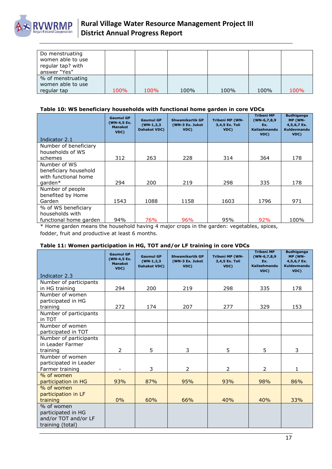

| Do menstruating<br>women able to use<br>regular tap? with<br>answer "Yes" |      |      |      |      |      |      |
|---------------------------------------------------------------------------|------|------|------|------|------|------|
| % of menstruating<br>women able to use<br>regular tap                     | 100% | 100% | 100% | 100% | 100% | 100% |

#### **Table 10: WS beneficiary households with functional home garden in core VDCs**

|                        | <b>Gaumul GP</b><br>(WN-4,5 Ex.<br><b>Manakot</b><br>VDC) | <b>Gaumul GP</b><br>$(WN-1, 2, 3)$<br>Dahakot VDC) | <b>Shwamikartik GP</b><br>(WN-3 Ex. Jukot<br>VDC) | <b>Tribeni MP (WN-</b><br>3,4,5 Ex. Toli<br>VDC) | <b>Tribeni MP</b><br>$(WN-6,7,8,9)$<br>Ex.<br>Kailashmandu<br>VDC) | <b>Budhiganga</b><br>MP (WN-<br>4,5,6,7 Ex.<br><b>Kuldevmandu</b><br>VDC) |
|------------------------|-----------------------------------------------------------|----------------------------------------------------|---------------------------------------------------|--------------------------------------------------|--------------------------------------------------------------------|---------------------------------------------------------------------------|
| Indicator 2.1          |                                                           |                                                    |                                                   |                                                  |                                                                    |                                                                           |
| Number of beneficiary  |                                                           |                                                    |                                                   |                                                  |                                                                    |                                                                           |
| households of WS       |                                                           |                                                    |                                                   |                                                  |                                                                    |                                                                           |
| schemes                | 312                                                       | 263                                                | 228                                               | 314                                              | 364                                                                | 178                                                                       |
| Number of WS           |                                                           |                                                    |                                                   |                                                  |                                                                    |                                                                           |
| beneficiary household  |                                                           |                                                    |                                                   |                                                  |                                                                    |                                                                           |
| with functional home   |                                                           |                                                    |                                                   |                                                  |                                                                    |                                                                           |
| garden*                | 294                                                       | 200                                                | 219                                               | 298                                              | 335                                                                | 178                                                                       |
| Number of people       |                                                           |                                                    |                                                   |                                                  |                                                                    |                                                                           |
| benefited by Home      |                                                           |                                                    |                                                   |                                                  |                                                                    |                                                                           |
| Garden                 | 1543                                                      | 1088                                               | 1158                                              | 1603                                             | 1796                                                               | 971                                                                       |
| % of WS beneficiary    |                                                           |                                                    |                                                   |                                                  |                                                                    |                                                                           |
| households with        |                                                           |                                                    |                                                   |                                                  |                                                                    |                                                                           |
| functional home garden | 94%                                                       | 76%                                                | 96%                                               | 95%                                              | 92%                                                                | 100%                                                                      |

\* Home garden means the household having 4 major crops in the garden: vegetables, spices, fodder, fruit and productive at least 6 months.

#### **Table 11: Women participation in HG, TOT and/or LF training in core VDCs**

|                                                                              | <b>Gaumul GP</b><br>(WN-4,5 Ex.<br><b>Manakot</b><br>VDC) | <b>Gaumul GP</b><br>$(WN-1, 2, 3)$<br><b>Dahakot VDC)</b> | <b>Shwamikartik GP</b><br>(WN-3 Ex. Jukot<br>VDC) | <b>Tribeni MP (WN-</b><br>3,4,5 Ex. Toli<br>VDC) | <b>Tribeni MP</b><br>(WN-6,7,8,9<br>Ex.<br>Kailashmandu<br>VDC) | <b>Budhiganga</b><br>MP (WN-<br>4,5,6,7 Ex.<br>Kuldevmandu<br>VDC) |
|------------------------------------------------------------------------------|-----------------------------------------------------------|-----------------------------------------------------------|---------------------------------------------------|--------------------------------------------------|-----------------------------------------------------------------|--------------------------------------------------------------------|
| Indicator 2.3                                                                |                                                           |                                                           |                                                   |                                                  |                                                                 |                                                                    |
| Number of participants<br>in HG training                                     | 294                                                       | 200                                                       | 219                                               | 298                                              | 335                                                             | 178                                                                |
| Number of women<br>participated in HG<br>training                            | 272                                                       | 174                                                       | 207                                               | 277                                              | 329                                                             | 153                                                                |
| Number of participants<br>in TOT                                             |                                                           |                                                           |                                                   |                                                  |                                                                 |                                                                    |
| Number of women<br>participated in TOT                                       |                                                           |                                                           |                                                   |                                                  |                                                                 |                                                                    |
| Number of participants<br>in Leader Farmer<br>training                       | $\overline{2}$                                            | 5                                                         | 3                                                 | 5                                                | 5                                                               | 3                                                                  |
| Number of women<br>participated in Leader<br>Farmer training                 |                                                           | 3                                                         | $\overline{2}$                                    | $\overline{2}$                                   | $\overline{2}$                                                  | $\mathbf{1}$                                                       |
| % of women<br>participation in HG                                            | 93%                                                       | 87%                                                       | 95%                                               | 93%                                              | 98%                                                             | 86%                                                                |
| % of women<br>participation in LF<br>training                                | 0%                                                        | 60%                                                       | 66%                                               | 40%                                              | 40%                                                             | 33%                                                                |
| % of women<br>participated in HG<br>and/or TOT and/or LF<br>training (total) |                                                           |                                                           |                                                   |                                                  |                                                                 |                                                                    |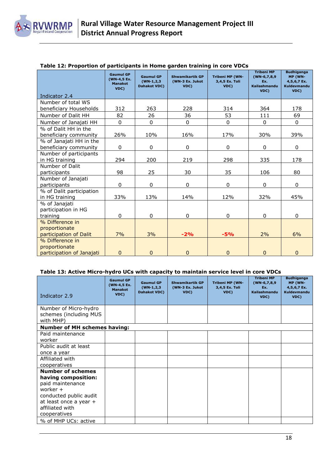

|                                            | <b>Gaumul GP</b><br>(WN-4,5 Ex.<br><b>Manakot</b><br>VDC) | <b>Gaumul GP</b><br>$(WN-1, 2, 3)$<br><b>Dahakot VDC)</b> | <b>Shwamikartik GP</b><br>(WN-3 Ex. Jukot<br>VDC) | <b>Tribeni MP (WN-</b><br>3,4,5 Ex. Toli<br>VDC) | <b>Tribeni MP</b><br>$(WN-6,7,8,9)$<br>Ex.<br><b>Kailashmandu</b><br>VDC) | <b>Budhiganga</b><br>MP (WN-<br>4,5,6,7 Ex.<br>Kuldevmandu<br>VDC) |
|--------------------------------------------|-----------------------------------------------------------|-----------------------------------------------------------|---------------------------------------------------|--------------------------------------------------|---------------------------------------------------------------------------|--------------------------------------------------------------------|
| Indicator 2.4                              |                                                           |                                                           |                                                   |                                                  |                                                                           |                                                                    |
| Number of total WS                         |                                                           |                                                           |                                                   |                                                  |                                                                           |                                                                    |
| beneficiary Households                     | 312                                                       | 263                                                       | 228                                               | 314                                              | 364                                                                       | 178                                                                |
| Number of Dalit HH                         | 82                                                        | 26                                                        | 36                                                | 53                                               | 111                                                                       | 69                                                                 |
| Number of Janajati HH                      | $\mathbf{0}$                                              | $\mathbf{0}$                                              | 0                                                 | $\Omega$                                         | $\mathbf{0}$                                                              | $\Omega$                                                           |
| % of Dalit HH in the                       |                                                           |                                                           |                                                   |                                                  |                                                                           |                                                                    |
| beneficiary community                      | 26%                                                       | 10%                                                       | 16%                                               | 17%                                              | 30%                                                                       | 39%                                                                |
| % of Janajati HH in the                    |                                                           |                                                           |                                                   |                                                  |                                                                           |                                                                    |
| beneficiary community                      | 0                                                         | 0                                                         | 0                                                 | 0                                                | 0                                                                         | 0                                                                  |
| Number of participants                     |                                                           |                                                           |                                                   |                                                  |                                                                           |                                                                    |
| in HG training                             | 294                                                       | 200                                                       | 219                                               | 298                                              | 335                                                                       | 178                                                                |
| Number of Dalit                            |                                                           |                                                           |                                                   |                                                  |                                                                           |                                                                    |
| participants                               | 98                                                        | 25                                                        | 30                                                | 35                                               | 106                                                                       | 80                                                                 |
| Number of Janajati                         |                                                           |                                                           |                                                   |                                                  |                                                                           |                                                                    |
| participants                               | $\mathbf 0$                                               | 0                                                         | 0                                                 | $\Omega$                                         | 0                                                                         | 0                                                                  |
| % of Dalit participation<br>in HG training | 33%                                                       | 13%                                                       | 14%                                               | 12%                                              | 32%                                                                       | 45%                                                                |
| % of Janajati                              |                                                           |                                                           |                                                   |                                                  |                                                                           |                                                                    |
| participation in HG                        |                                                           |                                                           |                                                   |                                                  |                                                                           |                                                                    |
| training                                   | $\Omega$                                                  | $\Omega$                                                  | $\Omega$                                          | 0                                                | $\mathbf{0}$                                                              | $\Omega$                                                           |
| % Difference in                            |                                                           |                                                           |                                                   |                                                  |                                                                           |                                                                    |
| proportionate                              |                                                           |                                                           |                                                   |                                                  |                                                                           |                                                                    |
| participation of Dalit                     | 7%                                                        | 3%                                                        | $-2%$                                             | $-5%$                                            | 2%                                                                        | 6%                                                                 |
| % Difference in                            |                                                           |                                                           |                                                   |                                                  |                                                                           |                                                                    |
| proportionate                              |                                                           |                                                           |                                                   |                                                  |                                                                           |                                                                    |
| participation of Janajati                  | $\overline{0}$                                            | $\mathbf{0}$                                              | $\pmb{0}$                                         | $\mathbf{0}$                                     | $\mathbf{0}$                                                              | $\mathbf{0}$                                                       |

#### **Table 12: Proportion of participants in Home garden training in core VDCs**

#### **Table 13: Active Micro-hydro UCs with capacity to maintain service level in core VDCs**

| Indicator 2.9                                                                                                                                                          | <b>Gaumul GP</b><br>(WN-4,5 Ex.<br><b>Manakot</b><br>VDC) | <b>Gaumul GP</b><br>$(WN-1, 2, 3)$<br><b>Dahakot VDC)</b> | <b>Shwamikartik GP</b><br>(WN-3 Ex. Jukot<br>VDC) | Tribeni MP (WN-<br>3,4,5 Ex. Toli<br>VDC) | <b>Tribeni MP</b><br>$(WN-6,7,8,9)$<br>Ex.<br>Kailashmandu<br>VDC) | <b>Budhiganga</b><br>MP (WN-<br>4,5,6,7 Ex.<br>Kuldevmandu<br>VDC) |
|------------------------------------------------------------------------------------------------------------------------------------------------------------------------|-----------------------------------------------------------|-----------------------------------------------------------|---------------------------------------------------|-------------------------------------------|--------------------------------------------------------------------|--------------------------------------------------------------------|
| Number of Micro-hydro<br>schemes (including MUS<br>with MHP)                                                                                                           |                                                           |                                                           |                                                   |                                           |                                                                    |                                                                    |
| <b>Number of MH schemes having:</b>                                                                                                                                    |                                                           |                                                           |                                                   |                                           |                                                                    |                                                                    |
| Paid maintenance<br>worker                                                                                                                                             |                                                           |                                                           |                                                   |                                           |                                                                    |                                                                    |
| Public audit at least                                                                                                                                                  |                                                           |                                                           |                                                   |                                           |                                                                    |                                                                    |
| once a year                                                                                                                                                            |                                                           |                                                           |                                                   |                                           |                                                                    |                                                                    |
| Affiliated with                                                                                                                                                        |                                                           |                                                           |                                                   |                                           |                                                                    |                                                                    |
| cooperatives                                                                                                                                                           |                                                           |                                                           |                                                   |                                           |                                                                    |                                                                    |
| <b>Number of schemes</b><br>having composition:<br>paid maintenance<br>worker +<br>conducted public audit<br>at least once a year +<br>affiliated with<br>cooperatives |                                                           |                                                           |                                                   |                                           |                                                                    |                                                                    |
| % of MHP UCs: active                                                                                                                                                   |                                                           |                                                           |                                                   |                                           |                                                                    |                                                                    |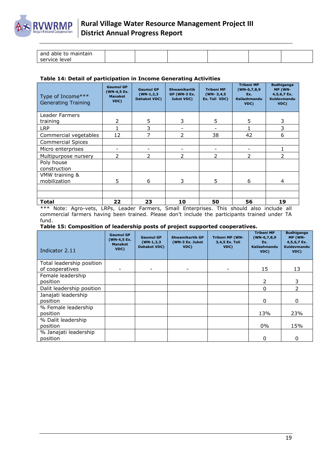

| and able to maintain |  |  |  |
|----------------------|--|--|--|
| service level        |  |  |  |

#### **Table 14: Detail of participation in Income Generating Activities**

| Type of Income***<br>Generating Training | <b>Gaumul GP</b><br>(WN-4,5 Ex.<br><b>Manakot</b><br>VDC) | <b>Gaumul GP</b><br>$(WN-1,2,3)$<br>Dahakot VDC) | <b>Shwamikartik</b><br><b>GP (WN-3 Ex.</b><br><b>Jukot VDC)</b> | <b>Tribeni MP</b><br>$(WN - 3, 4, 5)$<br>Ex. Toli VDC) | <b>Tribeni MP</b><br>$(WN-6,7,8,9)$<br>Ex.<br>Kailashmandu<br>VDC) | <b>Budhiganga</b><br>MP (WN-<br>4,5,6,7 Ex.<br>Kuldevmandu<br>VDC) |
|------------------------------------------|-----------------------------------------------------------|--------------------------------------------------|-----------------------------------------------------------------|--------------------------------------------------------|--------------------------------------------------------------------|--------------------------------------------------------------------|
| Leader Farmers                           |                                                           |                                                  |                                                                 |                                                        |                                                                    |                                                                    |
| training                                 | $\overline{2}$                                            | 5                                                | 3                                                               | 5                                                      | 5                                                                  | 3                                                                  |
| <b>LRP</b>                               | 1                                                         | 3                                                |                                                                 |                                                        |                                                                    | 3                                                                  |
| Commercial vegetables                    | 12                                                        | 7                                                | 2                                                               | 38                                                     | 42                                                                 | 6                                                                  |
| <b>Commercial Spices</b>                 |                                                           |                                                  |                                                                 |                                                        |                                                                    |                                                                    |
| Micro enterprises                        |                                                           |                                                  |                                                                 |                                                        |                                                                    |                                                                    |
| Multipurpose nursery                     | $\overline{2}$                                            | $\mathcal{P}$                                    | $\mathcal{P}$                                                   | $\mathcal{P}$                                          | 2                                                                  | $\mathcal{P}$                                                      |
| Poly house                               |                                                           |                                                  |                                                                 |                                                        |                                                                    |                                                                    |
| construction                             |                                                           |                                                  |                                                                 |                                                        |                                                                    |                                                                    |
| VMW training &                           |                                                           |                                                  |                                                                 |                                                        |                                                                    |                                                                    |
| mobilization                             | 5                                                         | 6                                                | 3                                                               | 5                                                      | 6                                                                  | 4                                                                  |
|                                          |                                                           |                                                  |                                                                 |                                                        |                                                                    |                                                                    |
|                                          |                                                           |                                                  |                                                                 |                                                        |                                                                    |                                                                    |
| Total                                    | 22                                                        | 23                                               | 10                                                              | 50                                                     | 56                                                                 | 19                                                                 |

\*\*\* Note: Agro-vets, LRPs, Leader Farmers, Small Enterprises. This should also include all commercial farmers having been trained. Please don't include the participants trained under TA fund.

#### **Table 15: Composition of leadership posts of project supported cooperatives.**

| Indicator 2.11            | <b>Gaumul GP</b><br>(WN-4,5 Ex.<br><b>Manakot</b><br>VDC) | <b>Gaumul GP</b><br>$(WN-1, 2, 3)$<br><b>Dahakot VDC)</b> | <b>Shwamikartik GP</b><br>(WN-3 Ex. Jukot<br>VDC) | <b>Tribeni MP (WN-</b><br>3,4,5 Ex. Toli<br>VDC) | <b>Tribeni MP</b><br>$(WN-6,7,8,9)$<br>Ex.<br><b>Kailashmandu</b><br>VDC) | <b>Budhiganga</b><br>MP (WN-<br>4,5,6,7 Ex.<br>Kuldevmandu<br>VDC) |
|---------------------------|-----------------------------------------------------------|-----------------------------------------------------------|---------------------------------------------------|--------------------------------------------------|---------------------------------------------------------------------------|--------------------------------------------------------------------|
| Total leadership position |                                                           |                                                           |                                                   |                                                  |                                                                           |                                                                    |
| of cooperatives           | -                                                         |                                                           |                                                   |                                                  | 15                                                                        | 13                                                                 |
| Female leadership         |                                                           |                                                           |                                                   |                                                  |                                                                           |                                                                    |
| position                  |                                                           |                                                           |                                                   |                                                  | 2.                                                                        | 3                                                                  |
| Dalit leadership position |                                                           |                                                           |                                                   |                                                  | $\Omega$                                                                  | $\mathcal{P}$                                                      |
| Janajati leadership       |                                                           |                                                           |                                                   |                                                  |                                                                           |                                                                    |
| position                  |                                                           |                                                           |                                                   |                                                  | 0                                                                         | 0                                                                  |
| % Female leadership       |                                                           |                                                           |                                                   |                                                  |                                                                           |                                                                    |
| position                  |                                                           |                                                           |                                                   |                                                  | 13%                                                                       | 23%                                                                |
| % Dalit leadership        |                                                           |                                                           |                                                   |                                                  |                                                                           |                                                                    |
| position                  |                                                           |                                                           |                                                   |                                                  | $0\%$                                                                     | 15%                                                                |
| % Janajati leadership     |                                                           |                                                           |                                                   |                                                  |                                                                           |                                                                    |
| position                  |                                                           |                                                           |                                                   |                                                  | 0                                                                         | 0                                                                  |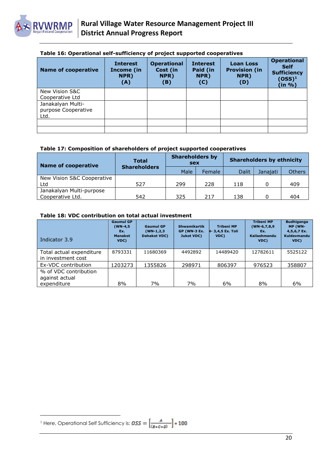

|  | Table 16: Operational self-sufficiency of project supported cooperatives |  |  |  |
|--|--------------------------------------------------------------------------|--|--|--|
|  |                                                                          |  |  |  |

| <b>Name of cooperative</b> | <b>Interest</b><br>Income (in<br>NPR)<br>(A) | <b>Operational</b><br>Cost (in<br>NPR)<br>(B) | <b>Interest</b><br>Paid (in<br>NPR)<br>(C) | <b>Loan Loss</b><br><b>Provision (in)</b><br>NPR)<br>(D) | <b>Operational</b><br><b>Self</b><br><b>Sufficiency</b><br>$(OSS)^1$<br>(in %) |
|----------------------------|----------------------------------------------|-----------------------------------------------|--------------------------------------------|----------------------------------------------------------|--------------------------------------------------------------------------------|
| New Vision S&C             |                                              |                                               |                                            |                                                          |                                                                                |
| Cooperative Ltd            |                                              |                                               |                                            |                                                          |                                                                                |
| Janakalyan Multi-          |                                              |                                               |                                            |                                                          |                                                                                |
| purpose Cooperative        |                                              |                                               |                                            |                                                          |                                                                                |
| Ltd.                       |                                              |                                               |                                            |                                                          |                                                                                |
|                            |                                              |                                               |                                            |                                                          |                                                                                |
|                            |                                              |                                               |                                            |                                                          |                                                                                |

#### **Table 17: Composition of shareholders of project supported cooperatives**

| <b>Name of cooperative</b> | <b>Total</b>        | <b>Shareholders by</b><br>sex |        | <b>Shareholders by ethnicity</b> |          |        |  |
|----------------------------|---------------------|-------------------------------|--------|----------------------------------|----------|--------|--|
|                            | <b>Shareholders</b> | Male                          | Female | <b>Dalit</b>                     | Janajati | Others |  |
| New Vision S&C Cooperative |                     |                               |        |                                  |          |        |  |
| Ltd                        | 527                 | 299                           | 228    | 118                              |          | 409    |  |
| Janakalyan Multi-purpose   |                     |                               |        |                                  |          |        |  |
| Cooperative Ltd.           | 542                 | 325                           | 217    | 138                              |          | 404    |  |

#### **Table 18: VDC contribution on total actual investment**

| Indicator 3.9                                          | <b>Gaumul GP</b><br>$(WN-4,5)$<br>Ex.<br><b>Manakot</b><br>VDC) | <b>Gaumul GP</b><br>$(WN-1, 2, 3)$<br><b>Dahakot VDC)</b> | <b>Shwamikartik</b><br><b>GP (WN-3 Ex.</b><br>Jukot VDC) | <b>Tribeni MP</b><br>N-3,4,5 Ex. Toli<br>VDC) | <b>Tribeni MP</b><br>$(WN-6, 7, 8, 9)$<br>Ex.<br>Kailashmandu<br>VDC) | <b>Budhiganga</b><br>MP (WN-<br>4,5,6,7 Ex.<br>Kuldevmandu<br>VDC) |
|--------------------------------------------------------|-----------------------------------------------------------------|-----------------------------------------------------------|----------------------------------------------------------|-----------------------------------------------|-----------------------------------------------------------------------|--------------------------------------------------------------------|
| Total actual expenditure<br>in investment cost         | 8793331                                                         | 11680369                                                  | 4492892                                                  | 14489420                                      | 12782611                                                              | 5525122                                                            |
| Ex-VDC contribution                                    | 1203273                                                         | 1355826                                                   | 298971                                                   | 806397                                        | 976523                                                                | 358807                                                             |
| % of VDC contribution<br>against actual<br>expenditure | 8%                                                              | 7%                                                        | 7%                                                       | 6%                                            | 8%                                                                    | 6%                                                                 |

 $\overline{a}$ 

<sup>1</sup> Here, Operational Self Sufficiency is: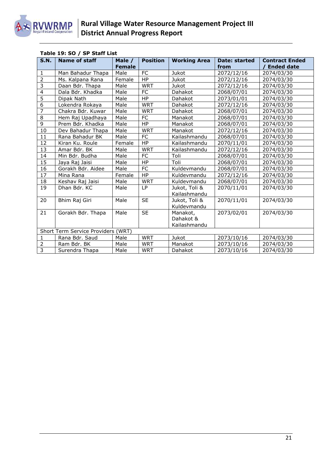

| <b>S.N.</b>    | Name of staff                      | Male /        | <b>Position</b> | <b>Working Area</b>                   | <b>Date: started</b> | <b>Contract Ended</b> |
|----------------|------------------------------------|---------------|-----------------|---------------------------------------|----------------------|-----------------------|
|                |                                    | <b>Female</b> |                 |                                       | from                 | <b>Ended date</b>     |
| $\mathbf{1}$   | Man Bahadur Thapa                  | Male          | <b>FC</b>       | Jukot                                 | 2072/12/16           | 2074/03/30            |
| $\overline{2}$ | Ms. Kalpana Rana                   | Female        | <b>HP</b>       | Jukot                                 | 2072/12/16           | 2074/03/30            |
| $\overline{3}$ | Daan Bdr. Thapa                    | Male          | <b>WRT</b>      | Jukot                                 | 2072/12/16           | 2074/03/30            |
| $\overline{4}$ | Dala Bdr. Khadka                   | Male          | <b>FC</b>       | Dahakot                               | 2068/07/01           | 2074/03/30            |
| $\overline{5}$ | Dipak Nath                         | Male          | <b>HP</b>       | Dahakot                               | 2073/01/01           | 2074/03/30            |
| $\overline{6}$ | Lokendra Rokaya                    | Male          | <b>WRT</b>      | Dahakot                               | 2072/12/16           | 2074/03/30            |
| 7              | Chakra Bdr. Kuwar                  | Male          | <b>WRT</b>      | Dahakot                               | 2068/07/01           | 2074/03/30            |
| $\overline{8}$ | Hem Raj Upadhaya                   | Male          | <b>FC</b>       | Manakot                               | 2068/07/01           | 2074/03/30            |
| $\overline{9}$ | Prem Bdr. Khadka                   | Male          | <b>HP</b>       | Manakot                               | 2068/07/01           | 2074/03/30            |
| 10             | Dev Bahadur Thapa                  | Male          | <b>WRT</b>      | Manakot                               | 2072/12/16           | 2074/03/30            |
| 11             | Rana Bahadur BK                    | Male          | <b>FC</b>       | Kailashmandu                          | 2068/07/01           | 2074/03/30            |
| 12             | Kiran Ku. Roule                    | Female        | <b>HP</b>       | Kailashmandu                          | 2070/11/01           | 2074/03/30            |
| 13             | Amar Bdr. BK                       | Male          | <b>WRT</b>      | Kailashmandu                          | 2072/12/16           | 2074/03/30            |
| 14             | Min Bdr. Budha                     | Male          | <b>FC</b>       | Toli                                  | 2068/07/01           | 2074/03/30            |
| 15             | Jaya Raj Jaisi                     | Male          | <b>HP</b>       | Toli                                  | 2068/07/01           | 2074/03/30            |
| 16             | Gorakh Bdr. Aidee                  | Male          | <b>FC</b>       | Kuldevmandu                           | 2068/07/01           | 2074/03/30            |
| 17             | Mina Rana                          | Female        | <b>HP</b>       | Kuldevmandu                           | 2072/12/16           | 2074/03/30            |
| 18             | Keshav Raj Jaisi                   | Male          | <b>WRT</b>      | Kuldevmandu                           | 2068/07/01           | 2074/03/30            |
| 19             | Dhan Bdr. KC                       | Male          | LP              | Jukot, Toli &<br>Kailashmandu         | 2070/11/01           | 2074/03/30            |
| 20             | Bhim Raj Giri                      | Male          | <b>SE</b>       | Jukot, Toli &<br>Kuldevmandu          | 2070/11/01           | 2074/03/30            |
| 21             | Gorakh Bdr. Thapa                  | Male          | <b>SE</b>       | Manakot,<br>Dahakot &<br>Kailashmandu | 2073/02/01           | 2074/03/30            |
|                | Short Term Service Providers (WRT) |               |                 |                                       |                      |                       |
| $\mathbf{1}$   | Rana Bdr. Saud                     | Male          | <b>WRT</b>      | Jukot                                 | 2073/10/16           | 2074/03/30            |
| $\overline{2}$ | Ram Bdr. BK                        | Male          | <b>WRT</b>      | Manakot                               | 2073/10/16           | 2074/03/30            |
| $\overline{3}$ | Surendra Thapa                     | Male          | <b>WRT</b>      | Dahakot                               | 2073/10/16           | 2074/03/30            |

#### **Table 19: SO / SP Staff List**